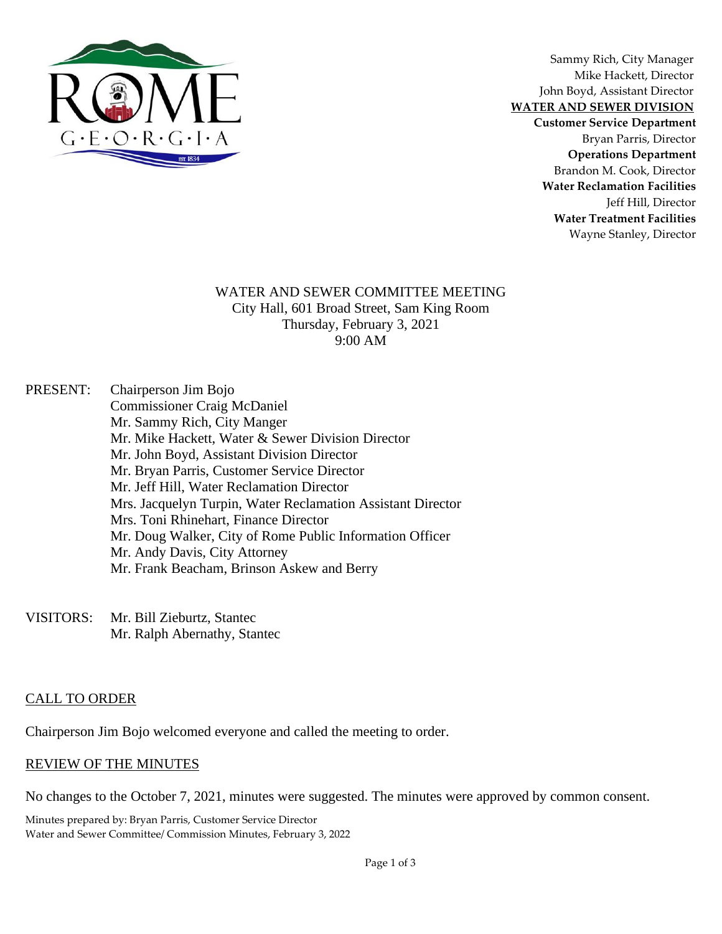

Sammy Rich, City Manager Mike Hackett, Director John Boyd, Assistant Director **WATER AND SEWER DIVISION**

**Customer Service Department** Bryan Parris, Director **Operations Department** Brandon M. Cook, Director **Water Reclamation Facilities** Jeff Hill, Director **Water Treatment Facilities** Wayne Stanley, Director

#### WATER AND SEWER COMMITTEE MEETING City Hall, 601 Broad Street, Sam King Room Thursday, February 3, 2021 9:00 AM

PRESENT: Chairperson Jim Bojo Commissioner Craig McDaniel Mr. Sammy Rich, City Manger Mr. Mike Hackett, Water & Sewer Division Director Mr. John Boyd, Assistant Division Director Mr. Bryan Parris, Customer Service Director Mr. Jeff Hill, Water Reclamation Director Mrs. Jacquelyn Turpin, Water Reclamation Assistant Director Mrs. Toni Rhinehart, Finance Director Mr. Doug Walker, City of Rome Public Information Officer Mr. Andy Davis, City Attorney Mr. Frank Beacham, Brinson Askew and Berry

VISITORS: Mr. Bill Zieburtz, Stantec Mr. Ralph Abernathy, Stantec

### CALL TO ORDER

Chairperson Jim Bojo welcomed everyone and called the meeting to order.

### REVIEW OF THE MINUTES

No changes to the October 7, 2021, minutes were suggested. The minutes were approved by common consent.

Minutes prepared by: Bryan Parris, Customer Service Director Water and Sewer Committee/ Commission Minutes, February 3, 2022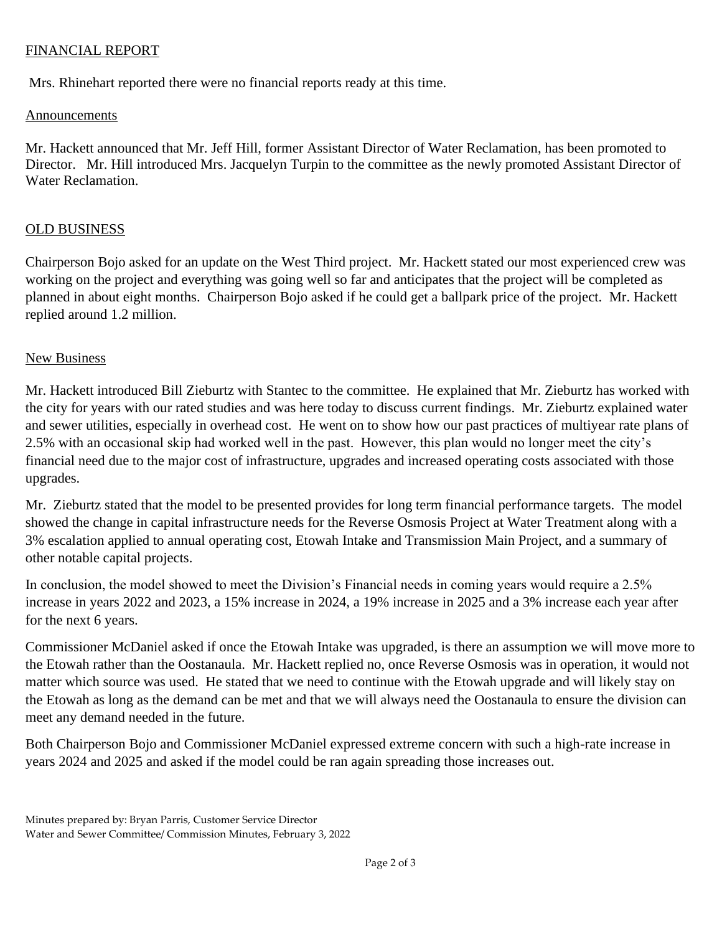## FINANCIAL REPORT

Mrs. Rhinehart reported there were no financial reports ready at this time.

### Announcements

Mr. Hackett announced that Mr. Jeff Hill, former Assistant Director of Water Reclamation, has been promoted to Director. Mr. Hill introduced Mrs. Jacquelyn Turpin to the committee as the newly promoted Assistant Director of Water Reclamation.

## OLD BUSINESS

Chairperson Bojo asked for an update on the West Third project. Mr. Hackett stated our most experienced crew was working on the project and everything was going well so far and anticipates that the project will be completed as planned in about eight months. Chairperson Bojo asked if he could get a ballpark price of the project. Mr. Hackett replied around 1.2 million.

## New Business

Mr. Hackett introduced Bill Zieburtz with Stantec to the committee. He explained that Mr. Zieburtz has worked with the city for years with our rated studies and was here today to discuss current findings. Mr. Zieburtz explained water and sewer utilities, especially in overhead cost. He went on to show how our past practices of multiyear rate plans of 2.5% with an occasional skip had worked well in the past. However, this plan would no longer meet the city's financial need due to the major cost of infrastructure, upgrades and increased operating costs associated with those upgrades.

Mr. Zieburtz stated that the model to be presented provides for long term financial performance targets. The model showed the change in capital infrastructure needs for the Reverse Osmosis Project at Water Treatment along with a 3% escalation applied to annual operating cost, Etowah Intake and Transmission Main Project, and a summary of other notable capital projects.

In conclusion, the model showed to meet the Division's Financial needs in coming years would require a 2.5% increase in years 2022 and 2023, a 15% increase in 2024, a 19% increase in 2025 and a 3% increase each year after for the next 6 years.

Commissioner McDaniel asked if once the Etowah Intake was upgraded, is there an assumption we will move more to the Etowah rather than the Oostanaula. Mr. Hackett replied no, once Reverse Osmosis was in operation, it would not matter which source was used. He stated that we need to continue with the Etowah upgrade and will likely stay on the Etowah as long as the demand can be met and that we will always need the Oostanaula to ensure the division can meet any demand needed in the future.

Both Chairperson Bojo and Commissioner McDaniel expressed extreme concern with such a high-rate increase in years 2024 and 2025 and asked if the model could be ran again spreading those increases out.

Minutes prepared by: Bryan Parris, Customer Service Director Water and Sewer Committee/ Commission Minutes, February 3, 2022